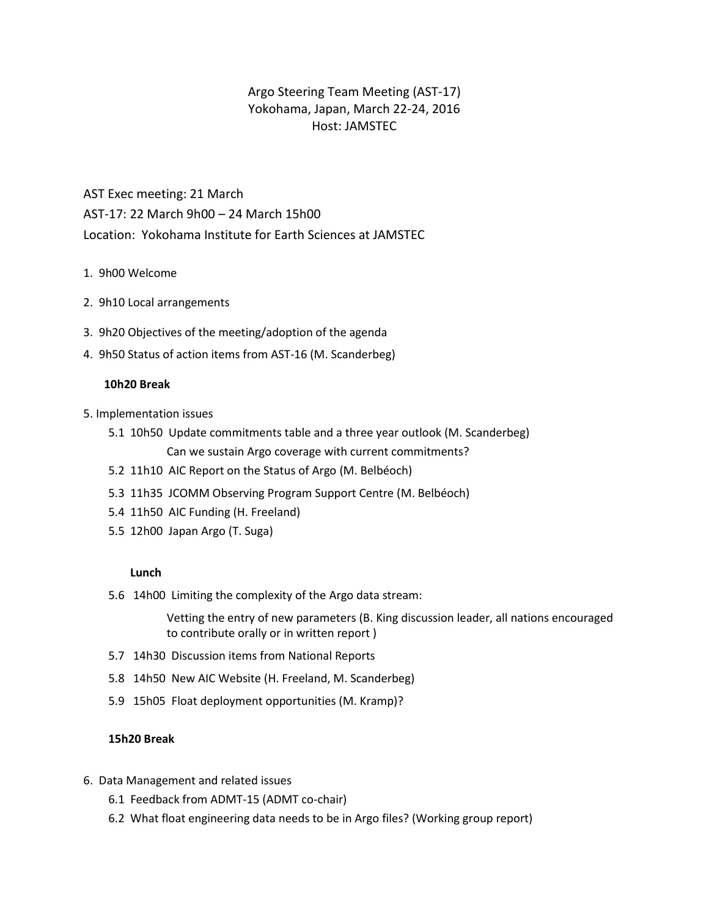## Argo Steering Team Meeting (AST-17) Yokohama, Japan, March 22-24, 2016 Host: JAMSTEC

AST Exec meeting: 21 March AST-17: 22 March 9h00 – 24 March 15h00 Location: Yokohama Institute for Earth Sciences at JAMSTEC

- 1. 9h00 Welcome
- 2. 9h10 Local arrangements
- 3. 9h20 Objectives of the meeting/adoption of the agenda
- 4. 9h50 Status of action items from AST-16 (M. Scanderbeg)

## **10h20 Break**

- 5. Implementation issues
	- 5.1 10h50 Update commitments table and a three year outlook (M. Scanderbeg) Can we sustain Argo coverage with current commitments?
	- 5.2 11h10 AIC Report on the Status of Argo (M. Belbéoch)
	- 5.3 11h35 JCOMM Observing Program Support Centre (M. Belbéoch)
	- 5.4 11h50 AIC Funding (H. Freeland)
	- 5.5 12h00 Japan Argo (T. Suga)

## **Lunch**

5.6 14h00 Limiting the complexity of the Argo data stream:

Vetting the entry of new parameters (B. King discussion leader, all nations encouraged to contribute orally or in written report )

- 5.7 14h30 Discussion items from National Reports
- 5.8 14h50 New AIC Website (H. Freeland, M. Scanderbeg)
- 5.9 15h05 Float deployment opportunities (M. Kramp)?

## **15h20 Break**

- 6. Data Management and related issues
	- 6.1 Feedback from ADMT-15 (ADMT co-chair)
	- 6.2 What float engineering data needs to be in Argo files? (Working group report)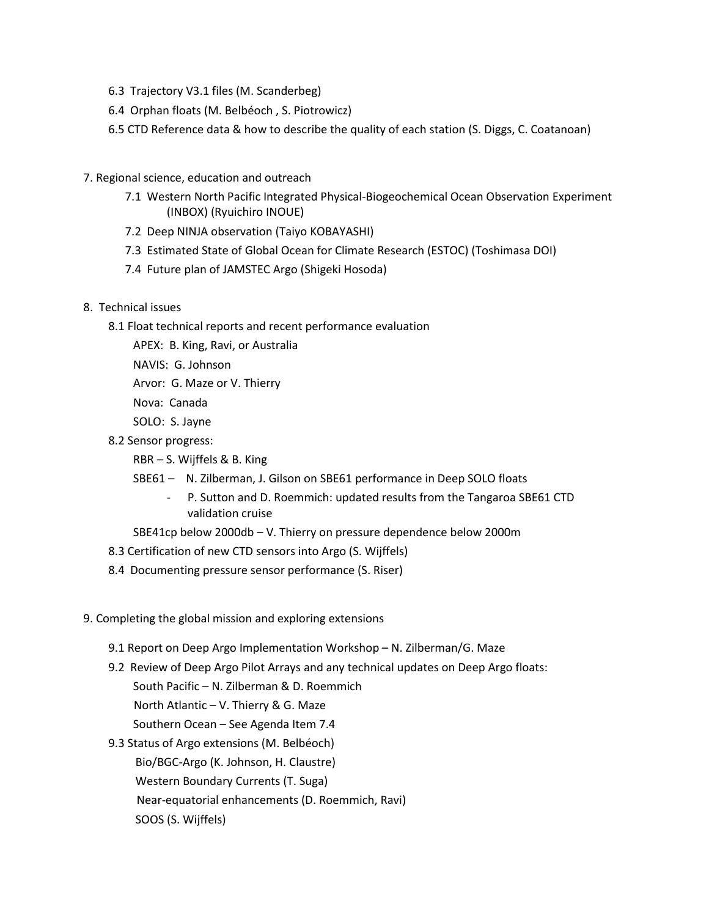- 6.3 Trajectory V3.1 files (M. Scanderbeg)
- 6.4 Orphan floats (M. Belbéoch , S. Piotrowicz)
- 6.5 CTD Reference data & how to describe the quality of each station (S. Diggs, C. Coatanoan)
- 7. Regional science, education and outreach
	- 7.1 Western North Pacific Integrated Physical-Biogeochemical Ocean Observation Experiment (INBOX) (Ryuichiro INOUE)
	- 7.2 Deep NINJA observation (Taiyo KOBAYASHI)
	- 7.3 Estimated State of Global Ocean for Climate Research (ESTOC) (Toshimasa DOI)
	- 7.4 Future plan of JAMSTEC Argo (Shigeki Hosoda)
- 8. Technical issues
	- 8.1 Float technical reports and recent performance evaluation
		- APEX: B. King, Ravi, or Australia
		- NAVIS: G. Johnson
		- Arvor: G. Maze or V. Thierry
		- Nova: Canada
		- SOLO: S. Jayne
	- 8.2 Sensor progress:
		- RBR S. Wijffels & B. King
		- SBE61 N. Zilberman, J. Gilson on SBE61 performance in Deep SOLO floats
			- P. Sutton and D. Roemmich: updated results from the Tangaroa SBE61 CTD validation cruise
		- SBE41cp below 2000db V. Thierry on pressure dependence below 2000m
	- 8.3 Certification of new CTD sensors into Argo (S. Wijffels)
	- 8.4 Documenting pressure sensor performance (S. Riser)
- 9. Completing the global mission and exploring extensions
	- 9.1 Report on Deep Argo Implementation Workshop N. Zilberman/G. Maze
	- 9.2 Review of Deep Argo Pilot Arrays and any technical updates on Deep Argo floats: South Pacific – N. Zilberman & D. Roemmich North Atlantic – V. Thierry & G. Maze
		- Southern Ocean See Agenda Item 7.4
	- 9.3 Status of Argo extensions (M. Belbéoch)
		- Bio/BGC-Argo (K. Johnson, H. Claustre)
		- Western Boundary Currents (T. Suga)
		- Near-equatorial enhancements (D. Roemmich, Ravi)
		- SOOS (S. Wijffels)